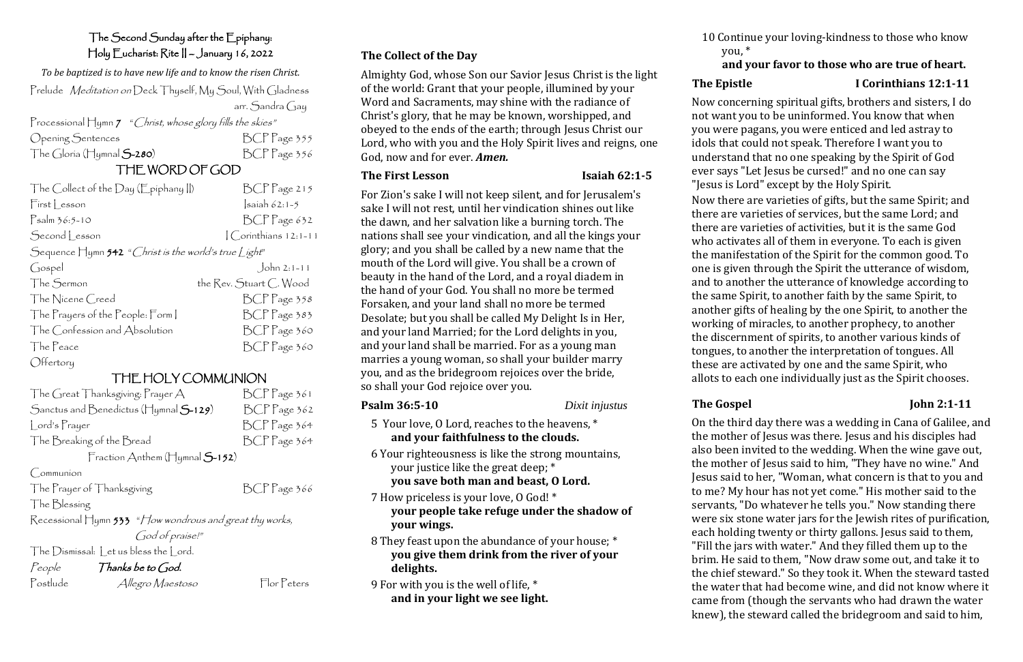# The Second Sunday after the Epiphany: Holy Eucharist: Rite II – January 16, 2022

 *To be baptized is to have new life and to know the risen Christ.* Prelude Meditation on Deck Thyself, My Soul, With Gladness arr. Sandra Gay Processional  $\Box$  Tymn  $\Box$  "Christ, whose glory fills the skies"

Opening Sentences BCP Page 355 The Gloria (Hymnal **S-280**) BCP Page 356

# THE WORD OF GOD

| The Collect of the Day (Epiphany II)                 | BCPPage 215             |  |  |  |
|------------------------------------------------------|-------------------------|--|--|--|
| First Lesson                                         | saíah $62:1-5$          |  |  |  |
| $P_{\text{salm}}$ 36:5-10                            | $BCP$ Page 632          |  |  |  |
| Second Lesson                                        | Corinthians 12:1-11     |  |  |  |
| Sequence Hymn 542 "Christ is the world's true Light" |                         |  |  |  |
| Gospel                                               | $John 2:1-11$           |  |  |  |
| The Sermon                                           | the Rev. Stuart C. Wood |  |  |  |
| The Nicene Creed                                     | $BCP$ Page 358          |  |  |  |
| The Prayers of the People: Form                      | $BCP$ Page 383          |  |  |  |
| The Confession and Absolution                        | $BCP$ Page 360          |  |  |  |
| The Peace                                            | $BCP$ Page 360          |  |  |  |
| Offertory                                            |                         |  |  |  |

# THE HOLY COMMUNION

| The Great Thanksgiving: $Pr_4A$                    | $BCPPage$ 361  |
|----------------------------------------------------|----------------|
| Sanctus and Benedictus ( $\Box$ umnal $\Box$ -129) | BCPPage 362    |
| $\lfloor$ ord's $\lfloor$ rayer                    | $BCP$ Page 364 |
| The Breaking of the Bread                          | BCPPage 364    |
| Fraction Anthem $(H_{\text{ymnal}}S_{-152})$       |                |

Communion

| The Prayer of Thanksgiving                                     |                   | $BCP$ Page 366 |  |  |  |
|----------------------------------------------------------------|-------------------|----------------|--|--|--|
| The Blessing                                                   |                   |                |  |  |  |
| Recessional $\Box$ umn 533 " How wondrous and great thy works, |                   |                |  |  |  |
|                                                                | God of praise!"   |                |  |  |  |
| The Dismissal: Let us bless the Lord.                          |                   |                |  |  |  |
| People                                                         | Thanks be to God. |                |  |  |  |
| Postlude                                                       | Allegro Maestoso  | Flor Peters    |  |  |  |

# **The Collect of the Day**

Almighty God, whose Son our Savior Jesus Christ is the light of the world: Grant that your people, illumined by your Word and Sacraments, may shine with the radiance of Christ's glory, that he may be known, worshipped, and obeyed to the ends of the earth; through Jesus Christ our Lord, who with you and the Holy Spirit lives and reigns, one God, now and for ever. *Amen.*

## **The First Lesson** Isaiah 62:1-5

# **and your favor to those who are true of heart. The Epistle I Corinthians 12:1-11**

For Zion's sake I will not keep silent, and for Jerusalem's sake I will not rest, until her vindication shines out like the dawn, and her salvation like a burning torch. The nations shall see your vindication, and all the kings your glory; and you shall be called by a new name that the mouth of the Lord will give. You shall be a crown of beauty in the hand of the Lord, and a royal diadem in the hand of your God. You shall no more be termed Forsaken, and your land shall no more be termed Desolate; but you shall be called My Delight Is in Her, and your land Married; for the Lord delights in you, and your land shall be married. For as a young man marries a young woman, so shall your builder marry you, and as the bridegroom rejoices over the bride, so shall your God rejoice over you.

# **Psalm 36:5-10** *Dixit injustus*

- 5 Your love, O Lord, reaches to the heavens, \* **and your faithfulness to the clouds.**
- 6 Your righteousness is like the strong mountains, your justice like the great deep; \* **you save both man and beast, O Lord.**
- 7 How priceless is your love, O God! \* **your people take refuge under the shadow of your wings.**
- 8 They feast upon the abundance of your house; \* **you give them drink from the river of your delights.**
- 9 For with you is the well of life, \* **and in your light we see light.**

10 Continue your loving-kindness to those who know

# you, \*

Now concerning spiritual gifts, brothers and sisters, I do not want you to be uninformed. You know that when you were pagans, you were enticed and led astray to idols that could not speak. Therefore I want you to understand that no one speaking by the Spirit of God ever says "Let Jesus be cursed!" and no one can say "Jesus is Lord" except by the Holy Spirit.

Now there are varieties of gifts, but the same Spirit; and there are varieties of services, but the same Lord; and there are varieties of activities, but it is the same God who activates all of them in everyone. To each is given the manifestation of the Spirit for the common good. To one is given through the Spirit the utterance of wisdom, and to another the utterance of knowledge according to the same Spirit, to another faith by the same Spirit, to another gifts of healing by the one Spirit, to another the working of miracles, to another prophecy, to another the discernment of spirits, to another various kinds of tongues, to another the interpretation of tongues. All these are activated by one and the same Spirit, who allots to each one individually just as the Spirit chooses.

## The Gospel John 2:1-11

On the third day there was a wedding in Cana of Galilee, and the mother of Jesus was there. Jesus and his disciples had also been invited to the wedding. When the wine gave out, the mother of Jesus said to him, "They have no wine." And Jesus said to her, "Woman, what concern is that to you and to me? My hour has not yet come." His mother said to the servants, "Do whatever he tells you." Now standing there were six stone water jars for the Jewish rites of purification, each holding twenty or thirty gallons. Jesus said to them, "Fill the jars with water." And they filled them up to the brim. He said to them, "Now draw some out, and take it to the chief steward." So they took it. When the steward tasted the water that had become wine, and did not know where it came from (though the servants who had drawn the water knew), the steward called the bridegroom and said to him,